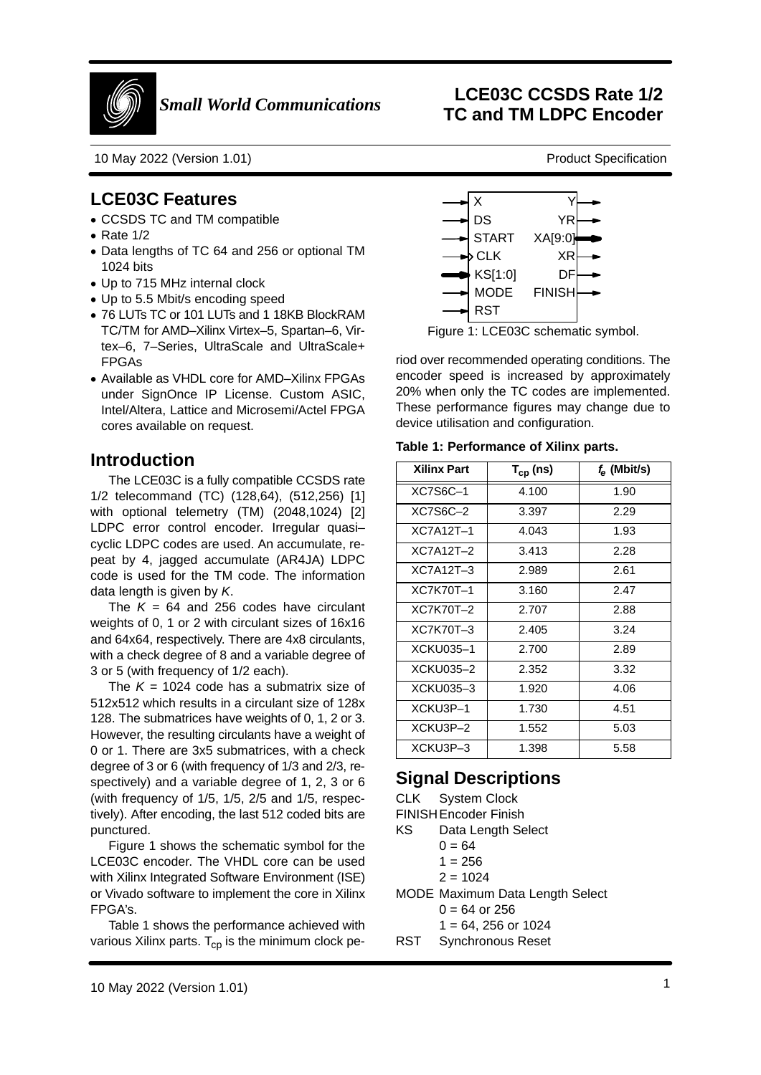

10 May 2022 (Version 1.01)

## **LCE03C Features**

- CCSDS TC and TM compatible
- Rate 1/2
- Data lengths of TC 64 and 256 or optional TM1024 bits
- Up to 715 MHz internal clock
- Up to 5.5 Mbit/s encoding speed
- 76 LUTs TC or 101 LUTs and 1 18KB BlockRAM TC/TM for AMD–Xilinx Virtex–5, Spartan–6, Virtex–6, 7–Series, UltraScale and UltraScale+FPGAs
- Available as VHDL core for AMD–Xilinx FPGAs under SignOnce IP License. Custom ASIC, Intel/Altera, Lattice and Microsemi/Actel FPGAcores available on request.

## **Introduction**

DS S YR XA[9:0]RSTY**YR** STARTXR DFCLK KS[1:0]XFINISH MODE

Figure 1: LCE03C schematic symbol.

**Table 1: Performance of Xilinx parts.**

| TC/TM for AMD-Xilinx Virtex-5, Spartan-6, Vir-<br>tex-6, 7-Series, UltraScale and UltraScale+<br><b>FPGAs</b><br>• Available as VHDL core for AMD-Xilinx FPGAs<br>under SignOnce IP License. Custom ASIC,<br>Intel/Altera, Lattice and Microsemi/Actel FPGA<br>cores available on request.                                                                                            | Figure 1: LCE03C schematic symbol.<br>riod over recommended operating conditions. The<br>encoder speed is increased by approximately<br>20% when only the TC codes are implemented.<br>These performance figures may change due to<br>device utilisation and configuration.<br>Table 1: Performance of Xilinx parts. |               |                |
|---------------------------------------------------------------------------------------------------------------------------------------------------------------------------------------------------------------------------------------------------------------------------------------------------------------------------------------------------------------------------------------|----------------------------------------------------------------------------------------------------------------------------------------------------------------------------------------------------------------------------------------------------------------------------------------------------------------------|---------------|----------------|
| Introduction                                                                                                                                                                                                                                                                                                                                                                          |                                                                                                                                                                                                                                                                                                                      |               |                |
|                                                                                                                                                                                                                                                                                                                                                                                       | <b>Xilinx Part</b>                                                                                                                                                                                                                                                                                                   | $T_{cp}$ (ns) | $f_e$ (Mbit/s) |
| The LCE03C is a fully compatible CCSDS rate<br>1/2 telecommand (TC) (128,64), (512,256) [1]                                                                                                                                                                                                                                                                                           | XC7S6C-1                                                                                                                                                                                                                                                                                                             | 4.100         | 1.90           |
| with optional telemetry (TM) (2048,1024) [2]                                                                                                                                                                                                                                                                                                                                          | XC7S6C-2                                                                                                                                                                                                                                                                                                             | 3.397         | 2.29           |
| LDPC error control encoder. Irregular quasi-                                                                                                                                                                                                                                                                                                                                          | <b>XC7A12T-1</b>                                                                                                                                                                                                                                                                                                     | 4.043         | 1.93           |
| cyclic LDPC codes are used. An accumulate, re-                                                                                                                                                                                                                                                                                                                                        | <b>XC7A12T-2</b>                                                                                                                                                                                                                                                                                                     | 3.413         | 2.28           |
| peat by 4, jagged accumulate (AR4JA) LDPC<br>code is used for the TM code. The information                                                                                                                                                                                                                                                                                            | <b>XC7A12T-3</b>                                                                                                                                                                                                                                                                                                     | 2.989         | 2.61           |
| data length is given by K.                                                                                                                                                                                                                                                                                                                                                            | <b>XC7K70T-1</b>                                                                                                                                                                                                                                                                                                     | 3.160         | 2.47           |
| The $K = 64$ and 256 codes have circulant                                                                                                                                                                                                                                                                                                                                             | <b>XC7K70T-2</b>                                                                                                                                                                                                                                                                                                     | 2.707         | 2.88           |
| weights of 0, 1 or 2 with circulant sizes of 16x16                                                                                                                                                                                                                                                                                                                                    | XC7K70T-3                                                                                                                                                                                                                                                                                                            | 2.405         | 3.24           |
| and 64x64, respectively. There are 4x8 circulants,<br>with a check degree of 8 and a variable degree of                                                                                                                                                                                                                                                                               | <b>XCKU035-1</b>                                                                                                                                                                                                                                                                                                     | 2.700         | 2.89           |
| 3 or 5 (with frequency of 1/2 each).                                                                                                                                                                                                                                                                                                                                                  | <b>XCKU035-2</b>                                                                                                                                                                                                                                                                                                     | 2.352         | 3.32           |
| The $K = 1024$ code has a submatrix size of                                                                                                                                                                                                                                                                                                                                           | <b>XCKU035-3</b>                                                                                                                                                                                                                                                                                                     | 1.920         | 4.06           |
| 512x512 which results in a circulant size of 128x                                                                                                                                                                                                                                                                                                                                     | XCKU3P-1                                                                                                                                                                                                                                                                                                             | 1.730         | 4.51           |
| 128. The submatrices have weights of 0, 1, 2 or 3.                                                                                                                                                                                                                                                                                                                                    | XCKU3P-2                                                                                                                                                                                                                                                                                                             | 1.552         | 5.03           |
| However, the resulting circulants have a weight of<br>0 or 1. There are 3x5 submatrices, with a check                                                                                                                                                                                                                                                                                 | XCKU3P-3                                                                                                                                                                                                                                                                                                             | 1.398         | 5.58           |
| degree of 3 or 6 (with frequency of 1/3 and 2/3, re-<br>spectively) and a variable degree of 1, 2, 3 or 6<br>(with frequency of 1/5, 1/5, 2/5 and 1/5, respec-<br>tively). After encoding, the last 512 coded bits are<br>punctured.<br>Figure 1 shows the schematic symbol for the<br>LCE03C encoder. The VHDL core can be used<br>with Xilinx Integrated Software Environment (ISE) | <b>Signal Descriptions</b><br><b>CLK</b><br><b>System Clock</b><br>FINISH Encoder Finish<br>KS<br>Data Length Select<br>$0 = 64$<br>$1 = 256$<br>$2 = 1024$                                                                                                                                                          |               |                |
| or Vivado software to implement the core in Xilinx<br>FPGA's.<br>Table 1 shows the performance achieved with<br>various Xilinx parts. T <sub>cp</sub> is the minimum clock pe-                                                                                                                                                                                                        | MODE Maximum Data Length Select<br>$0 = 64$ or 256<br>$1 = 64$ , 256 or 1024<br><b>RST</b><br><b>Synchronous Reset</b>                                                                                                                                                                                               |               |                |

# **Signal Descriptions**

- S Data Length Select KS
	- $0 = 64$
	- 1 = 256
	- 2 = 1024

- $0 = 64$  or 256
- 1 = 64, 256 or 1024
- Synchronous ResetRST

**LCE03C CCSDS Rate 1/2 TC and TM LDPC Encoder**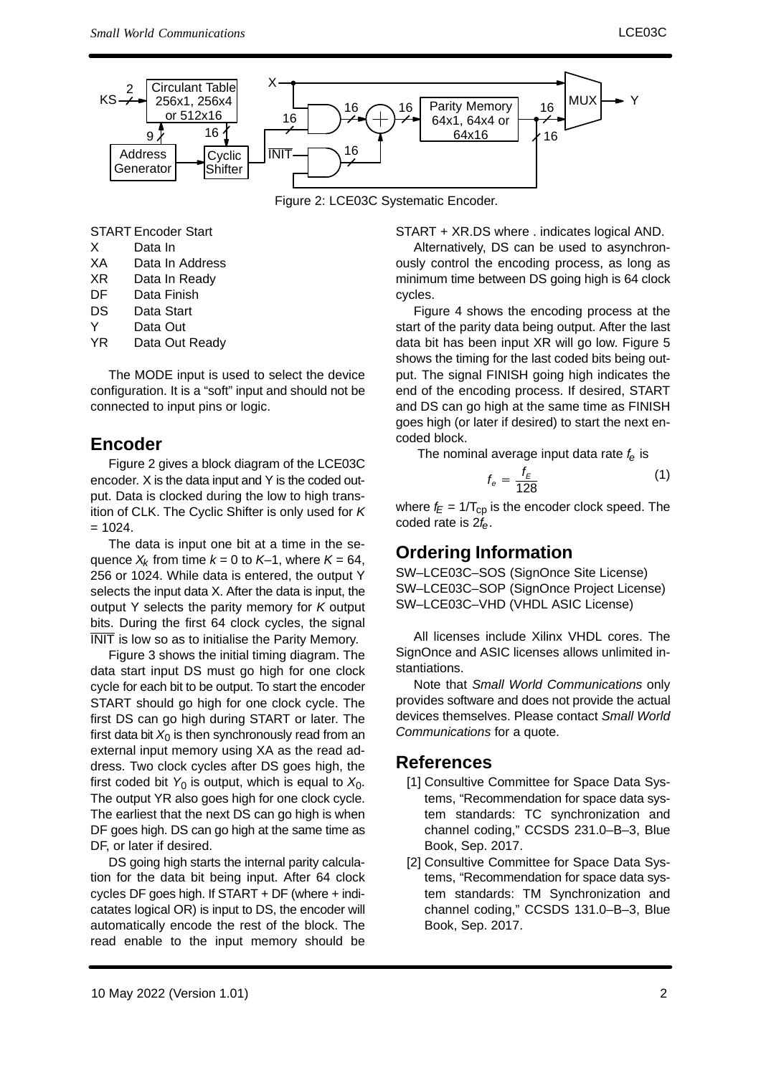

Figure 2: LCE03C Systematic Encoder.

- START Encoder Start XData In
- XAData In Address
- XRData In Ready
- DFData Finish
- DSData Start
- YData Out
- YRData Out Ready

The MODE input is used to select the device configuration. It is a "soft" input and should not beconnected to input pins or logic.

### **Encoder**

Figure 2 gives a block diagram of the LCE03C encoder. X is the data input and Y is the coded out put. Data is clocked during the low to high transition of CLK. The Cyclic Shifter is only used for  $K$  $= 1024.$ 

The data is input one bit at a time in the sequence  $X_k$  from time  $k = 0$  to K–1, where  $K = 64$ , 256 or 1024. While data is entered, the output Y selects the input data X. After the data is input, theoutput Y selects the parity memory for K output bits. During the first 64 clock cycles, the signalINIT is low so as to initialise the Parity Memory.

Figure 3 shows the initial timing diagram. The data start input DS must go high for one clock cycle for each bit to be output. To start the encoderSTART should go high for one clock cycle. The first DS can go high during START or later. Thefirst data bit  $X_{0}$  is then synchronously read from an external input memory using XA as the read ad dress. Two clock cycles after DS goes high, thefirst coded bit  $\mathsf{Y}_{0}$  is output, which is equal to  $\mathsf{X}_{0}$ . The output YR also goes high for one clock cycle.The earliest that the next DS can go high is when DF goes high. DS can go high at the same time asDF, or later if desired.

DS going high starts the internal parity calcula tion for the data bit being input. After 64 clock cycles DF goes high. If START + DF (where + indicatates logical OR) is input to DS, the encoder willautomatically encode the rest of the block. Theread enable to the input memory should be

START + XR.DS where . indicates logical AND.

 Alternatively, DS can be used to asynchron ously control the encoding process, as long as minimum time between DS going high is 64 clockcycles.

Figure 4 shows the encoding process at the start of the parity data being output. After the lastdata bit has been input XR will go low. Figure 5 shows the timing for the last coded bits being output. The signal FINISH going high indicates the end of the encoding process. If desired, START and DS can go high at the same time as FINISH goes high (or later if desired) to start the next encoded block.

The nominal average input data rate  $f_e$  is

$$
f_e = \frac{f_E}{128} \tag{1}
$$

where  $f_E = 1/T_{cp}$  is the encoder clock speed. The coded rate is  $2f_{\rm e}$ .

## **Ordering Information**

 SW–LCE03C–SOS (SignOnce Site License) SW–LCE03C–SOP (SignOnce Project License)SW–LCE03C–VHD (VHDL ASIC License)

All licenses include Xilinx VHDL cores. The SignOnce and ASIC licenses allows unlimited instantiations.

Note that Small World Communications onlyprovides software and does not provide the actual devices themselves. Please contact Small WorldCommunications for a quote.

#### **References**

- [1] Consultive Committee for Space Data Systems, "Recommendation for space data system standards: TC synchronization and channel coding," CCSDS 231.0–B–3, BlueBook, Sep. 2017.
- [2] Consultive Committee for Space Data Sys tems, "Recommendation for space data system standards: TM Synchronization and channel coding," CCSDS 131.0–B–3, BlueBook, Sep. 2017.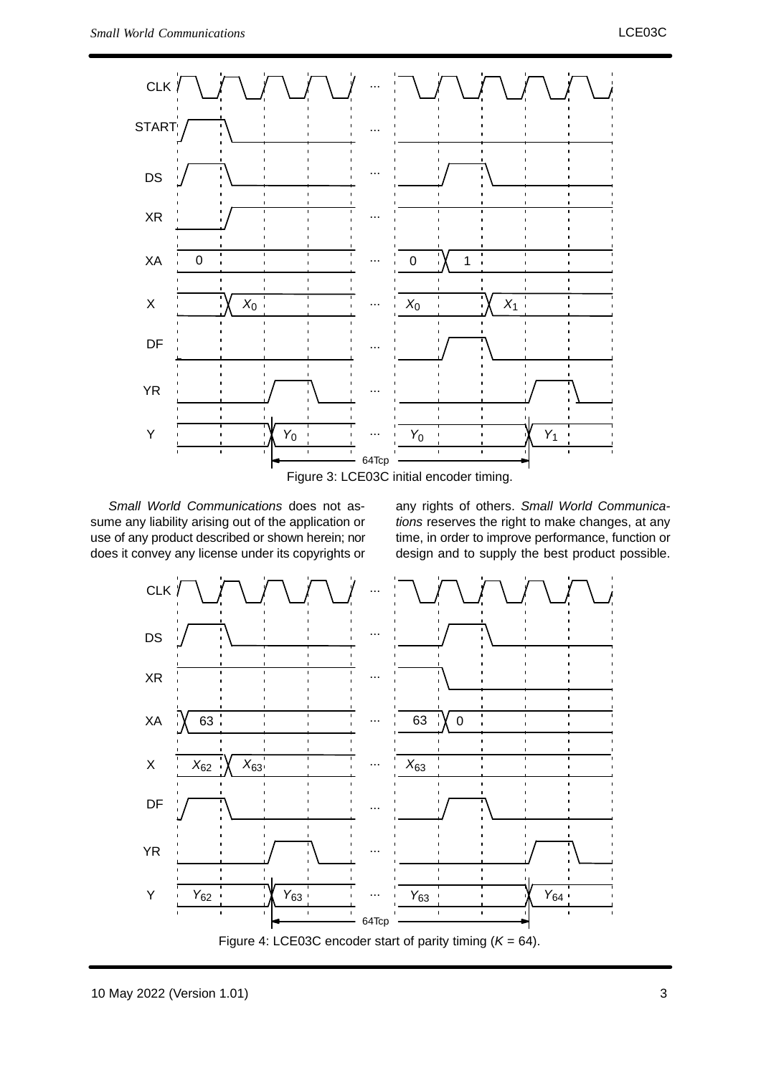

Small World Communications does not as sume any liability arising out of the application or use of any product described or shown herein; nordoes it convey any license under its copyrights or

any rights of others. Small World Communications reserves the right to make changes, at any time, in order to improve performance, function ordesign and to supply the best product possible.